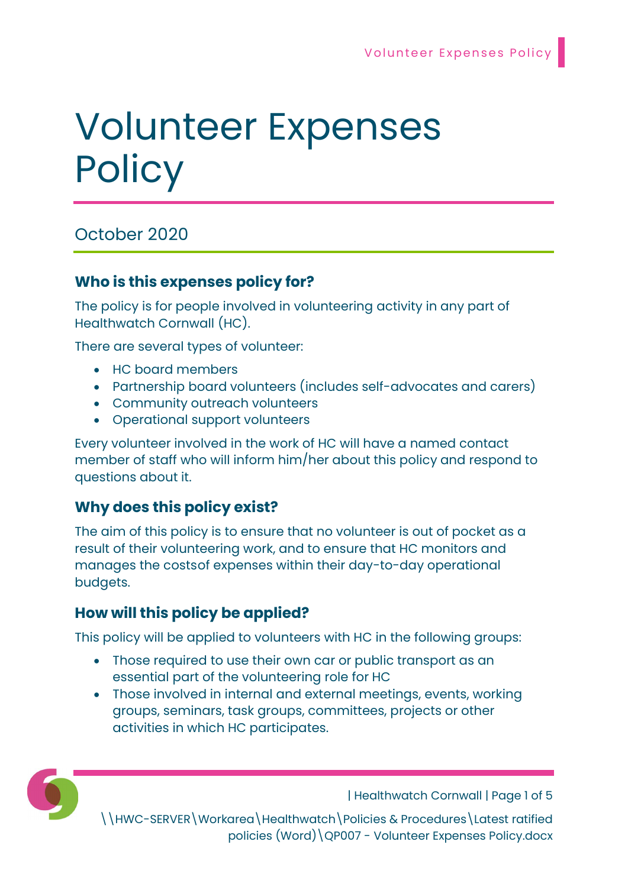# Volunteer Expenses **Policy**

# October 2020

# Who is this expenses policy for?

The policy is for people involved in volunteering activity in any part of Healthwatch Cornwall (HC).

There are several types of volunteer:

- HC board members
- Partnership board volunteers (includes self-advocates and carers)
- Community outreach volunteers
- Operational support volunteers

Every volunteer involved in the work of HC will have a named contact member of staff who will inform him/her about this policy and respond to questions about it.

# Why does this policy exist?

The aim of this policy is to ensure that no volunteer is out of pocket as a result of their volunteering work, and to ensure that HC monitors and manages the costs of expenses within their day-to-day operational budgets.

# How will this policy be applied?

This policy will be applied to volunteers with HC in the following groups:

- Those required to use their own car or public transport as an essential part of the volunteering role for HC
- Those involved in internal and external meetings, events, working groups, seminars, task groups, committees, projects or other activities in which HC participates.



| Healthwatch Cornwall | Page 1 of 5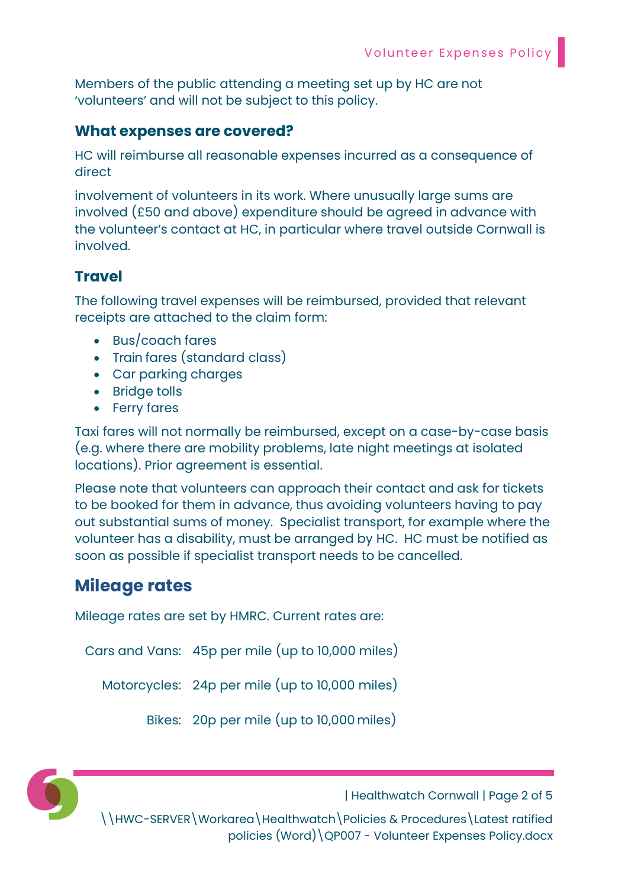Members of the public attending a meeting set up by HC are not 'volunteers' and will not be subject to this policy.

#### What expenses are covered?

HC will reimburse all reasonable expenses incurred as a consequence of direct

involvement of volunteers in its work. Where unusually large sums are involved (£50 and above) expenditure should be agreed in advance with the volunteer's contact at HC, in particular where travel outside Cornwall is involved.

# **Travel**

The following travel expenses will be reimbursed, provided that relevant receipts are attached to the claim form:

- Bus/coach fares
- Train fares (standard class)
- Car parking charges
- Bridge tolls
- Ferry fares

Taxi fares will not normally be reimbursed, except on a case-by-case basis (e.g. where there are mobility problems, late night meetings at isolated locations). Prior agreement is essential.

Please note that volunteers can approach their contact and ask for tickets to be booked for them in advance, thus avoiding volunteers having to pay out substantial sums of money. Specialist transport, for example where the volunteer has a disability, must be arranged by HC. HC must be notified as soon as possible if specialist transport needs to be cancelled.

# Mileage rates

Mileage rates are set by HMRC. Current rates are:

Cars and Vans: 45p per mile (up to 10,000 miles)

Motorcycles: 24p per mile (up to 10,000 miles)

Bikes: 20p per mile (up to 10,000 miles)



| Healthwatch Cornwall | Page 2 of 5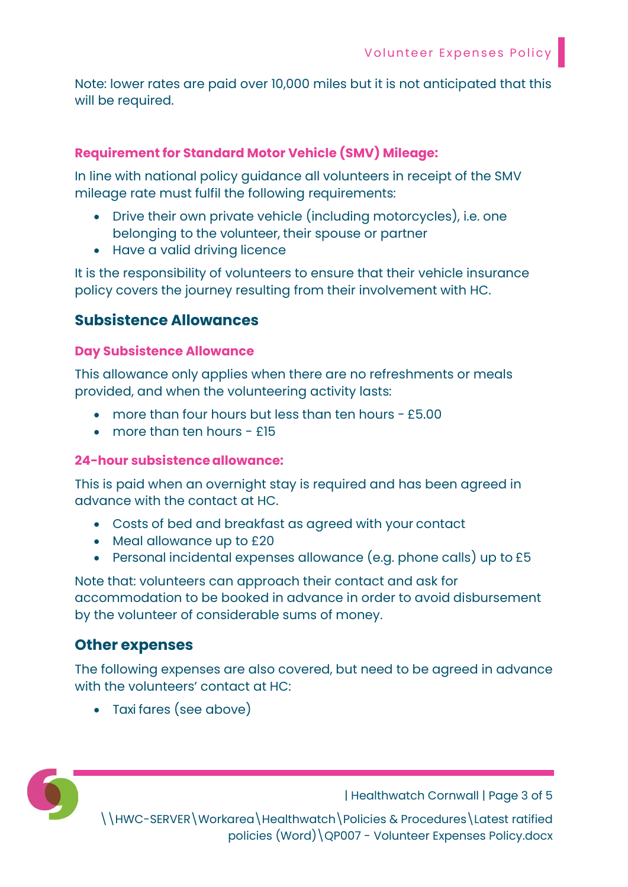Note: lower rates are paid over 10,000 miles but it is not anticipated that this will be required.

#### Requirement for Standard Motor Vehicle (SMV) Mileage:

In line with national policy guidance all volunteers in receipt of the SMV mileage rate must fulfil the following requirements:

- Drive their own private vehicle (including motorcycles), i.e. one belonging to the volunteer, their spouse or partner
- Have a valid drivina licence

It is the responsibility of volunteers to ensure that their vehicle insurance policy covers the journey resulting from their involvement with HC.

# Subsistence Allowances

#### Day Subsistence Allowance

This allowance only applies when there are no refreshments or meals provided, and when the volunteering activity lasts:

- more than four hours but less than ten hours £5.00
- more than ten hours £15

#### 24-hour subsistence allowance:

This is paid when an overnight stay is required and has been agreed in advance with the contact at HC.

- Costs of bed and breakfast as agreed with your contact
- Meal allowance up to £20
- Personal incidental expenses allowance (e.g. phone calls) up to £5

Note that: volunteers can approach their contact and ask for accommodation to be booked in advance in order to avoid disbursement by the volunteer of considerable sums of money.

#### Other expenses

The following expenses are also covered, but need to be agreed in advance with the volunteers' contact at HC:

Taxi fares (see above)



| Healthwatch Cornwall | Page 3 of 5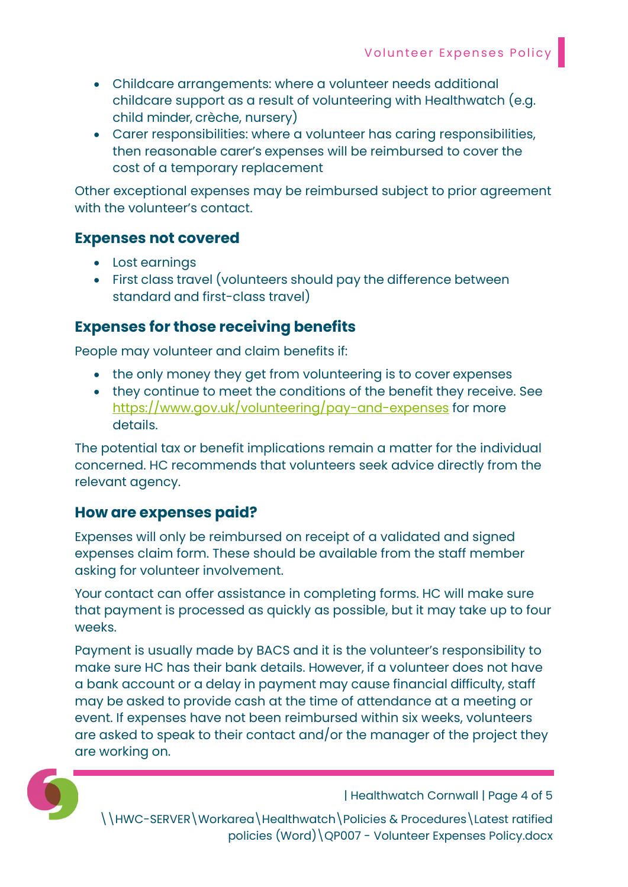- Childcare arrangements: where a volunteer needs additional childcare support as a result of volunteering with Healthwatch (e.g. child minder, crèche, nursery)
- Carer responsibilities: where a volunteer has caring responsibilities, then reasonable carer's expenses will be reimbursed to cover the cost of a temporary replacement

Other exceptional expenses may be reimbursed subject to prior agreement with the volunteer's contact.

### Expenses not covered

- Lost earnings
- First class travel (volunteers should pay the difference between standard and first-class travel)

# Expenses for those receiving benefits

People may volunteer and claim benefits if:

- the only money they get from volunteering is to cover expenses
- they continue to meet the conditions of the benefit they receive. See https://www.gov.uk/volunteering/pay-and-expenses for more details.

The potential tax or benefit implications remain a matter for the individual concerned. HC recommends that volunteers seek advice directly from the relevant agency.

# How are expenses paid?

Expenses will only be reimbursed on receipt of a validated and signed expenses claim form. These should be available from the staff member asking for volunteer involvement.

Your contact can offer assistance in completing forms. HC will make sure that payment is processed as quickly as possible, but it may take up to four weeks.

Payment is usually made by BACS and it is the volunteer's responsibility to make sure HC has their bank details. However, if a volunteer does not have a bank account or a delay in payment may cause financial difficulty, staff may be asked to provide cash at the time of attendance at a meeting or event. If expenses have not been reimbursed within six weeks, volunteers are asked to speak to their contact and/or the manager of the project they are working on.



| Healthwatch Cornwall | Page 4 of 5